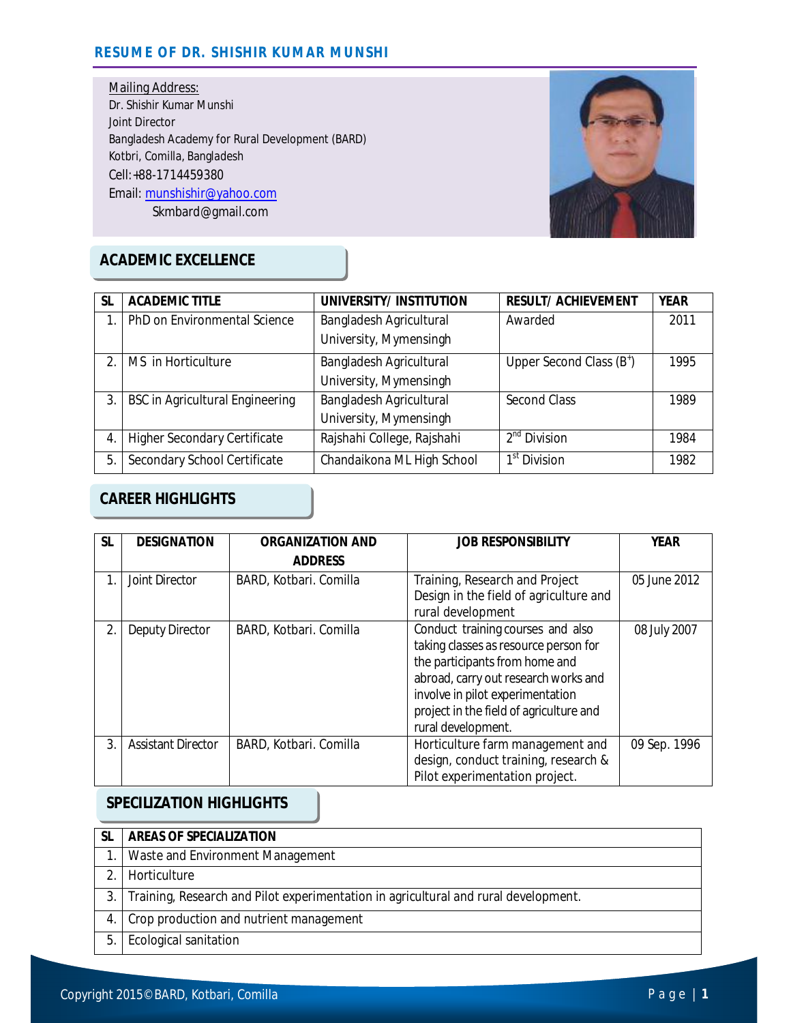### **RESUME OF DR. SHISHIR KUMAR MUNSHI**

Mailing Address: Dr. Shishir Kumar Munshi Joint Director Bangladesh Academy for Rural Development (BARD) Kotbri, Comilla, Bangladesh Cell:+88-1714459380 Email: munshishir@yahoo.com Skmbard@gmail.com



# **ACADEMIC EXCELLENCE**

| <b>SL</b>              | <b>ACADEMIC TITLE</b>                  | UNIVERSITY/INSTITUTION         | <b>RESULT/ ACHIEVEMENT</b>           | <b>YEAR</b> |
|------------------------|----------------------------------------|--------------------------------|--------------------------------------|-------------|
|                        | PhD on Environmental Science           | Bangladesh Agricultural        | Awarded                              | 2011        |
|                        |                                        | University, Mymensingh         |                                      |             |
| $\mathfrak{D}_{\cdot}$ | MS in Horticulture                     | Bangladesh Agricultural        | Upper Second Class (B <sup>+</sup> ) | 1995        |
|                        |                                        | University, Mymensingh         |                                      |             |
| 3.                     | <b>BSC in Agricultural Engineering</b> | <b>Bangladesh Agricultural</b> | Second Class                         | 1989        |
|                        |                                        | University, Mymensingh         |                                      |             |
| 4.                     | <b>Higher Secondary Certificate</b>    | Rajshahi College, Rajshahi     | $2^{nd}$ Division                    | 1984        |
| 5.                     | Secondary School Certificate           | Chandaikona ML High School     | 1 <sup>st</sup> Division             | 1982        |

## **CAREER HIGHLIGHTS**

| <b>SL</b> | <b>DESIGNATION</b>        | <b>ORGANIZATION AND</b> | <b>JOB RESPONSIBILITY</b>                                                                                                                                                                                                                                 | <b>YEAR</b>  |
|-----------|---------------------------|-------------------------|-----------------------------------------------------------------------------------------------------------------------------------------------------------------------------------------------------------------------------------------------------------|--------------|
|           |                           | <b>ADDRESS</b>          |                                                                                                                                                                                                                                                           |              |
|           | Joint Director            | BARD, Kotbari. Comilla  | Training, Research and Project<br>Design in the field of agriculture and<br>rural development                                                                                                                                                             | 05 June 2012 |
| 2.        | <b>Deputy Director</b>    | BARD, Kotbari. Comilla  | Conduct training courses and also<br>taking classes as resource person for<br>the participants from home and<br>abroad, carry out research works and<br>involve in pilot experimentation<br>project in the field of agriculture and<br>rural development. | 08 July 2007 |
| 3.        | <b>Assistant Director</b> | BARD, Kotbari. Comilla  | Horticulture farm management and<br>design, conduct training, research &<br>Pilot experimentation project.                                                                                                                                                | 09 Sep. 1996 |

### **SPECILIZATION HIGHLIGHTS**

|     | <b>AREAS OF SPECIALIZATION</b>                                                      |
|-----|-------------------------------------------------------------------------------------|
|     | Waste and Environment Management                                                    |
|     | Horticulture                                                                        |
| 3.1 | Training, Research and Pilot experimentation in agricultural and rural development. |
| 4.  | Crop production and nutrient management                                             |
| 5.  | Ecological sanitation                                                               |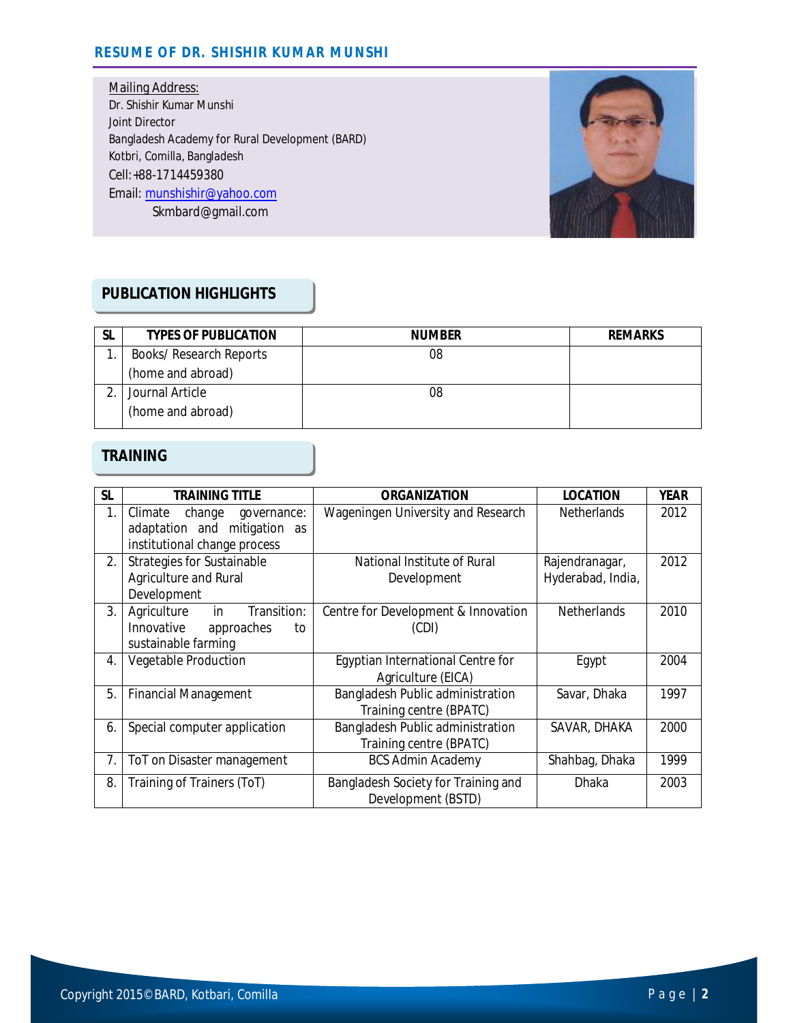#### **RESUME OF DR. SHISHIR KUMAR MUNSHI**

Mailing Address: Dr. Shishir Kumar Munshi Joint Director Bangladesh Academy for Rural Development (BARD) Kotbri, Comilla, Bangladesh Cell:+88-1714459380 Email: munshishir@yahoo.com Skmbard@gmail.com



### **PUBLICATION HIGHLIGHTS**

| -SL | <b>TYPES OF PUBLICATION</b> | <b>NUMBER</b> | <b>REMARKS</b> |
|-----|-----------------------------|---------------|----------------|
|     | Books/ Research Reports     | 08            |                |
|     | (home and abroad)           |               |                |
|     | Journal Article             | 08            |                |
|     | (home and abroad)           |               |                |

#### **TRAINING**

| <b>SL</b> | <b>TRAINING TITLE</b>             | <b>ORGANIZATION</b>                 | <b>LOCATION</b>    | <b>YEAR</b> |
|-----------|-----------------------------------|-------------------------------------|--------------------|-------------|
| 1.        | Climate<br>change<br>governance:  | Wageningen University and Research  | <b>Netherlands</b> | 2012        |
|           | adaptation and mitigation as      |                                     |                    |             |
|           | institutional change process      |                                     |                    |             |
| 2.        | <b>Strategies for Sustainable</b> | National Institute of Rural         | Rajendranagar,     | 2012        |
|           | Agriculture and Rural             | Development                         | Hyderabad, India,  |             |
|           | Development                       |                                     |                    |             |
| 3.        | Agriculture<br>Transition:<br>in  | Centre for Development & Innovation | <b>Netherlands</b> | 2010        |
|           | Innovative<br>approaches<br>to    | (CDI)                               |                    |             |
|           | sustainable farming               |                                     |                    |             |
| 4.        | Vegetable Production              | Egyptian International Centre for   | Egypt              | 2004        |
|           |                                   | Agriculture (EICA)                  |                    |             |
| 5.        | <b>Financial Management</b>       | Bangladesh Public administration    | Savar, Dhaka       | 1997        |
|           |                                   | Training centre (BPATC)             |                    |             |
| 6.        | Special computer application      | Bangladesh Public administration    | SAVAR, DHAKA       | 2000        |
|           |                                   | Training centre (BPATC)             |                    |             |
| 7.        | ToT on Disaster management        | <b>BCS Admin Academy</b>            | Shahbag, Dhaka     | 1999        |
| 8.        | Training of Trainers (ToT)        | Bangladesh Society for Training and | Dhaka              | 2003        |
|           |                                   | Development (BSTD)                  |                    |             |